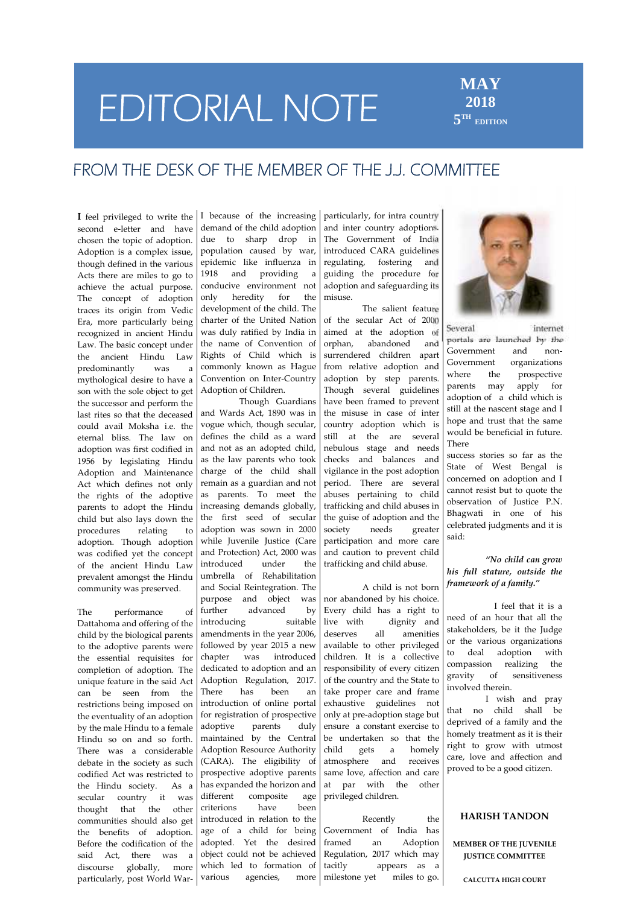# **EDITORIAL NOTE**

## **MAY 2018 5 TH EDITION**

## **FROM THE DESK OF THE MEMBER OF THE J.J. COMMITTEE**

**I** feel privileged to write the second e-letter and have chosen the topic of adoption. Adoption is a complex issue, though defined in the various Acts there are miles to go to 1918 achieve the actual purpose. condi<br>The concent of adoption only The concept of adoption traces its origin from Vedic Era, more particularly being recognized in ancient Hindu Law. The basic concept under the ancient Hindu Law predominantly was a mythological desire to have a son with the sole object to get the successor and perform the last rites so that the deceased could avail Moksha i.e. the eternal bliss. The law on adoption was first codified in 1956 by legislating Hindu Adoption and Maintenance Act which defines not only the rights of the adoptive parents to adopt the Hindu child but also lays down the procedures relating to adoption. Though adoption was codified yet the concept of the ancient Hindu Law prevalent amongst the Hindu community was preserved.

The performance of further Dattahoma and offering of the child by the biological parents to the adoptive parents were the essential requisites for chapter completion of adoption. The unique feature in the said  $Act$   $Adopt$ <br> $can$   $he$   $seen$   $from$  the There can be seen from the restrictions being imposed on the eventuality of an adoption by the male Hindu to a female Hindu so on and so forth. There was a considerable debate in the society as such codified Act was restricted to the Hindu society. As a has expanded the Hindu society. As a different secular country it was thought that the other communities should also get the benefits of adoption. Before the codification of the said Act, there was a discourse globally, more particularly, post World War-

I because of the increasing demand of the child adoption due to sharp drop in population caused by war, epidemic like influenza in and providing a conducive environment not heredity for the development of the child. The charter of the United Nation was duly ratified by India in the name of Convention of Rights of Child which is commonly known as Hague Convention on Inter-Country Adoption of Children.

Though Guardians and Wards Act, 1890 was in vogue which, though secular, defines the child as a ward and not as an adopted child, as the law parents who took charge of the child shall remain as a guardian and not as parents. To meet the increasing demands globally, the first seed of secular adoption was sown in 2000 while Juvenile Justice (Care and Protection) Act, 2000 was introduced under the umbrella of Rehabilitation and Social Reintegration. The purpose and object was advanced by introducing suitable live with amendments in the year 2006, followed by year 2015 a new was introduced dedicated to adoption and an Adoption Regulation, 2017. There has been an take proper care and frame introduction of online portal for registration of prospective adoptive parents duly maintained by the Central Adoption Resource Authority child (CARA). The eligibility of prospective adoptive parents has expanded the horizon and composite age criterions have been introduced in relation to the age of a child for being adopted. Yet the desired framed object could not be achieved which led to formation of tacitly various agencies, more

particularly, for intra country and inter country adoptions. The Government of India introduced CARA guidelines regulating, fostering and guiding the procedure for adoption and safeguarding its misuse.

The salient feature of the secular Act of 2000 aimed at the adoption of abandoned and surrendered children apart Government from relative adoption and  $\bigcup_{\text{where}}^{\text{Gover}}$ adoption by step parents. Where  $\Gamma$ Though several guidelines have been framed to prevent the misuse in case of inter country adoption which is still at the are several nebulous stage and needs checks and balances and vigilance in the post adoption period. There are several abuses pertaining to child trafficking and child abuses in the guise of adoption and the needs greater participation and more care and caution to prevent child trafficking and child abuse.

A child is not born nor abandoned by his choice. Every child has a right to dignity and all amenities available to other privileged children. It is a collective responsibility of every citizen  $\begin{bmatrix} \text{compass} \\ \text{gravity} \end{bmatrix}$ of the country and the State to exhaustive guidelines not only at pre-adoption stage but ensure a constant exercise to be undertaken so that the gets a homely atmosphere and receives same love, affection and care at par with the other privileged children.

Recently the Government of India has an Adoption Regulation, 2017 which may appears as a milestone yet miles to go.



Several internet portals are launched by the Government and non organizations the prospective may apply for adoption of a child which is still at the nascent stage and I hope and trust that the same would be beneficial in future. There

success stories so far as the State of West Bengal is concerned on adoption and I cannot resist but to quote the observation of Justice P.N. Bhagwati in one of his celebrated judgments and it is said:

*"No child can grow his full stature, outside the framework of a family."*

I feel that it is a need of an hour that all the stakeholders, be it the Judge or the various organizations to deal adoption with compassion realizing the of sensitiveness involved therein.

I wish and pray that no child shall be deprived of a family and the homely treatment as it is their right to grow with utmost care, love and affection and proved to be a good citizen.

#### **HARISH TANDON**

#### **MEMBER OF THE JUVENILE JUSTICE COMMITTEE**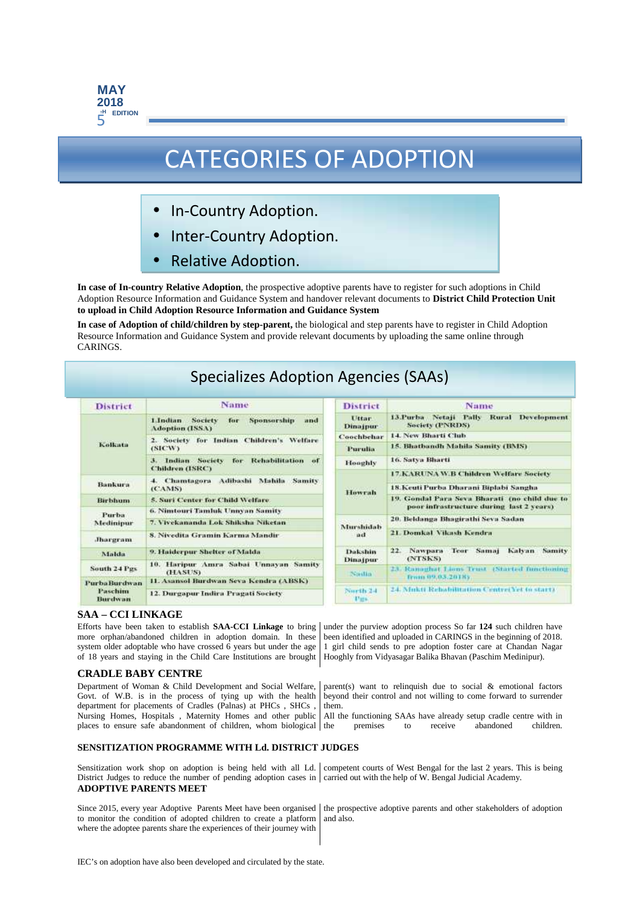

## CATEGORIES OF ADOPTION

- In-Country Adoption.
- Inter-Country Adoption.
- Relative Adoption.

**In case of In-country Relative Adoption**, the prospective adoptive parents have to register for such adoptions in Child Adoption Resource Information and Guidance System and handover relevant documents to **District Child Protection Unit to upload in Child Adoption Resource Information and Guidance System**

**In case of Adoption of child/children by step-parent,** the biological and step parents have to register in Child Adoption Resource Information and Guidance System and provide relevant documents by uploading the same online through CARINGS.

## Specializes Adoption Agencies (SAAs)

| <b>District</b>      | Name                                                                                    |  |  |  |  |  |  |  |  |  |
|----------------------|-----------------------------------------------------------------------------------------|--|--|--|--|--|--|--|--|--|
|                      | <b>Sponsorship</b><br>Lindian<br><b>Society</b><br>and<br>for<br><b>Adoption (ISSA)</b> |  |  |  |  |  |  |  |  |  |
| <b>Kolkutu</b>       | 2. Society for Indian Children's Welfare<br>(SICW)                                      |  |  |  |  |  |  |  |  |  |
|                      | for Rehabilitation<br>Indian Society<br>of<br>в.<br><b>Children (ISRC)</b>              |  |  |  |  |  |  |  |  |  |
| Bankura              | Adibashi<br>Mahila Samity<br>4. Chamtagora<br>(CAMS)                                    |  |  |  |  |  |  |  |  |  |
| <b>Birbhum</b>       | 5. Suri Center for Child Welfare.                                                       |  |  |  |  |  |  |  |  |  |
| Purba                | 6. Nimtouri Tamluk Unnyan Samity                                                        |  |  |  |  |  |  |  |  |  |
| Medinipur            | 7. Vivekananda Lok Shiksha Niketan                                                      |  |  |  |  |  |  |  |  |  |
| <b>Jhargram</b>      | 8. Nivedita Gramin Karma Mandir                                                         |  |  |  |  |  |  |  |  |  |
| Malda.               | 9. Haiderpur Shelter of Malda                                                           |  |  |  |  |  |  |  |  |  |
| South 24 Pgs         | 10. Haripur Amra Sabai Unnayan Samity<br>(HASUS)                                        |  |  |  |  |  |  |  |  |  |
| <b>Purba Burdwan</b> | 11. Asansol Burdwan Seva Kendra (ABSK)                                                  |  |  |  |  |  |  |  |  |  |
| Paschim<br>Burdwan   | 12. Durgapur Indira Pragati Society                                                     |  |  |  |  |  |  |  |  |  |

| <b>District</b>                            | Name                                                                                      |  |  |  |  |  |  |  |  |  |
|--------------------------------------------|-------------------------------------------------------------------------------------------|--|--|--|--|--|--|--|--|--|
| <b>Littme</b><br>Dinajpur                  | 13.Purba Netaji Paliv Rural<br>Development<br><b>Society (PNRDS)</b>                      |  |  |  |  |  |  |  |  |  |
| Coochbehar                                 | 14. New Bharti Club.                                                                      |  |  |  |  |  |  |  |  |  |
| <b>Purulia</b>                             | 15. Bhathandh Mahila Samity (BMS)                                                         |  |  |  |  |  |  |  |  |  |
| Hooghly                                    | 16. Satya Bharti                                                                          |  |  |  |  |  |  |  |  |  |
| Howrah                                     | <b>17.KARUNAW.B Children Welfare Society</b>                                              |  |  |  |  |  |  |  |  |  |
|                                            | 18. Keuti Purba Dharani Biplabi Sangha                                                    |  |  |  |  |  |  |  |  |  |
|                                            | 19. Gondal Para Seva Bharati (no child due to<br>poor infrastructure during last 2 years) |  |  |  |  |  |  |  |  |  |
| Murshidah<br>ad                            | 20. Beldanga Bhagirathi Seva Sadan                                                        |  |  |  |  |  |  |  |  |  |
|                                            | 21. Domkal Vikash Kendra                                                                  |  |  |  |  |  |  |  |  |  |
| Dakshin<br>Dinajpur                        | Nawpara Teor Samaj<br>22.7<br>Kalvan<br>Samity<br>(NTSKS)                                 |  |  |  |  |  |  |  |  |  |
| Norths.                                    | 23. Ramaghat Lions Trust (Started functioning<br>from 09,03,2018s.                        |  |  |  |  |  |  |  |  |  |
| North <sub>24</sub><br><b>THE ROOM AND</b> | 24. Mukti Rebabilitation Centrel Yet to start).                                           |  |  |  |  |  |  |  |  |  |

#### **SAA – CCI LINKAGE**

Efforts have been taken to establish **SAA-CCI Linkage** to bring more orphan/abandoned children in adoption domain. In these system older adoptable who have crossed 6 years but under the age of 18 years and staying in the Child Care Institutions are brought

#### **CRADLE BABY CENTRE**

Department of Woman & Child Development and Social Welfare, Govt. of W.B. is in the process of tying up with the health department for placements of Cradles (Palnas) at PHCs , SHCs , Nursing Homes, Hospitals , Maternity Homes and other public places to ensure safe abandonment of children, whom biological

under the purview adoption process So far **124** such children have been identified and uploaded in CARINGS in the beginning of 2018. 1 girl child sends to pre adoption foster care at Chandan Nagar Hooghly from Vidyasagar Balika Bhavan (Paschim Medinipur).

parent(s) want to relinquish due to social  $\&$  emotional factors beyond their control and not willing to come forward to surrender them.

All the functioning SAAs have already setup cradle centre with in premises to receive abandoned children.

#### **SENSITIZATION PROGRAMME WITH Ld. DISTRICT JUDGES**

Sensitization work shop on adoption is being held with all Ld. Competent courts of West Bengal for the last 2 years. This is being District Judges to reduce the number of pending adoption cases in carried out with the help of W. Bengal Judicial Academy. **ADOPTIVE PARENTS MEET**

Since 2015, every year Adoptive Parents Meet have been organised to monitor the condition of adopted children to create a platform where the adoptee parents share the experiences of their journey with

the prospective adoptive parents and other stakeholders of adoption and also.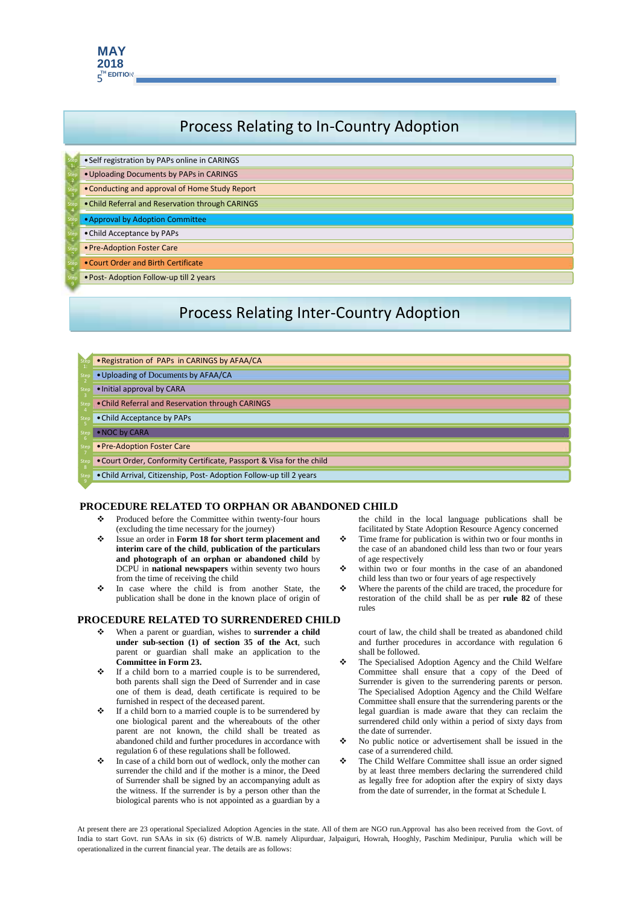

## Process Relating to In-Country Adoption

- Step Self registration by PAPs online in CARINGS
- **Extep Uploading Documents by PAPs in CARINGS**
- Step  **Conducting and approval of Home Study Report**
- Step Child Referral and Reservation through CARINGS
- **Step** •Approval by Adoption Committee
- Step Child Acceptance by PAPs
- Step **•Pre-Adoption Foster Care**
- Step Court Order and Birth Certificate
- Step Post- Adoption Follow-up till 2 years

## Process Relating Inter-Country Adoption

- Step Registration of PAPs in CARINGS by AFAA/CA
- Step  **Uploading of Documents by AFAA/CA**
- Step **•Initial approval by CARA**
- Step Child Referral and Reservation through CARINGS
- Step Child Acceptance by PAPs
- Step  **NOC by CARA**
- Step **•Pre-Adoption Foster Care**
- Step Court Order, Conformity Certificate, Passport & Visa for the child
- Step <sup>9</sup> •Child Arrival, Citizenship, Post- Adoption Follow-up till 2 years

#### **PROCEDURE RELATED TO ORPHAN OR ABANDONED CHILD**

- Produced before the Committee within twenty-four hours (excluding the time necessary for the journey)
- Issue an order in **Form 18 for short term placement and interim care of the child**, **publication of the particulars and photograph of an orphan or abandoned child** by  $DCPI$  in **pational powspapers** within seventy two bours  $\bullet$ DCPU in **national newspapers** within seventy two hours from the time of receiving the child
- In case where the child is from another State, the publication shall be done in the known place of origin of

#### **PROCEDURE RELATED TO SURRENDERED CHILD**

- When a parent or guardian, wishes to **surrender a child under sub-section (1) of section 35 of the Act**, such parent or guardian shall make an application to the committee in Form  $23$ **Committee in Form 23.**
- If a child born to a married couple is to be surrendered, both parents shall sign the Deed of Surrender and in case one of them is dead, death certificate is required to be furnished in respect of the deceased parent.
- $\div$  If a child born to a married couple is to be surrendered by one biological parent and the whereabouts of the other parent are not known, the child shall be treated as abandoned child and further procedures in accordance with regulation 6 of these regulations shall be followed.
- In case of a child born out of wedlock, only the mother can surrender the child and if the mother is a minor, the Deed of Surrender shall be signed by an accompanying adult as the witness. If the surrender is by a person other than the biological parents who is not appointed as a guardian by a

the child in the local language publications shall be facilitated by State Adoption Resource Agency concerned

- Time frame for publication is within two or four months in the case of an abandoned child less than two or four years of age respectively
- within two or four months in the case of an abandoned child less than two or four years of age respectively
- Where the parents of the child are traced, the procedure for restoration of the child shall be as per **rule 82** of these rules

court of law, the child shall be treated as abandoned child and further procedures in accordance with regulation 6 shall be followed.

- The Specialised Adoption Agency and the Child Welfare Committee shall ensure that a copy of the Deed of Surrender is given to the surrendering parents or person. The Specialised Adoption Agency and the Child Welfare Committee shall ensure that the surrendering parents or the legal guardian is made aware that they can reclaim the surrendered child only within a period of sixty days from the date of surrender.
- No public notice or advertisement shall be issued in the case of a surrendered child.
- The Child Welfare Committee shall issue an order signed by at least three members declaring the surrendered child as legally free for adoption after the expiry of sixty days from the date of surrender, in the format at Schedule I.

At present there are 23 operational Specialized Adoption Agencies in the state. All of them are NGO run.Approval has also been received from the Govt. of India to start Govt. run SAAs in six (6) districts of W.B. namely Alipurduar, Jalpaiguri, Howrah, Hooghly, Paschim Medinipur, Purulia which will be operationalized in the current financial year. The details are as follows: